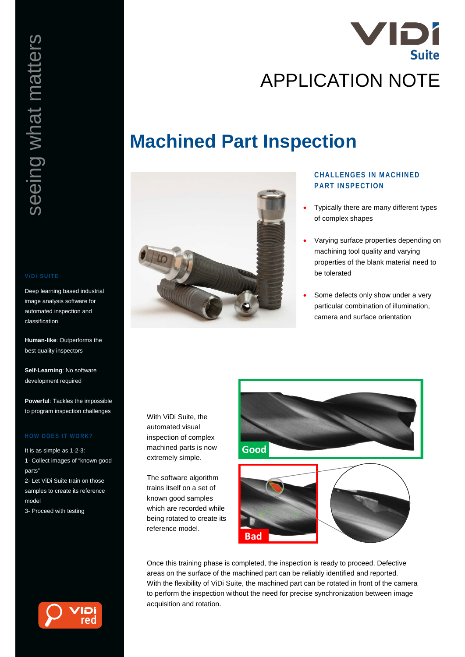# seeing what matters seeing what matters

Deep learning based industrial image analysis software for automated inspection and classification

**Human-like**: Outperforms the best quality inspectors

**Self-Learning**: No software development required

**Powerful**: Tackles the impossible to program inspection challenges

It is as simple as 1-2-3:

1- Collect images of "known good parts"

2- Let ViDi Suite train on those samples to create its reference model

3- Proceed with testing



# **Machined Part Inspection**



# **CHALLENGES IN MACHINED PART INSPECTION**

- Typically there are many different types of complex shapes
- Varying surface properties depending on machining tool quality and varying properties of the blank material need to be tolerated
- Some defects only show under a very particular combination of illumination, camera and surface orientation

With ViDi Suite, the automated visual inspection of complex machined parts is now extremely simple.

The software algorithm trains itself on a set of known good samples which are recorded while being rotated to create its reference model.



**Bad**



Once this training phase is completed, the inspection is ready to proceed. Defective areas on the surface of the machined part can be reliably identified and reported. With the flexibility of ViDi Suite, the machined part can be rotated in front of the camera to perform the inspection without the need for precise synchronization between image acquisition and rotation.